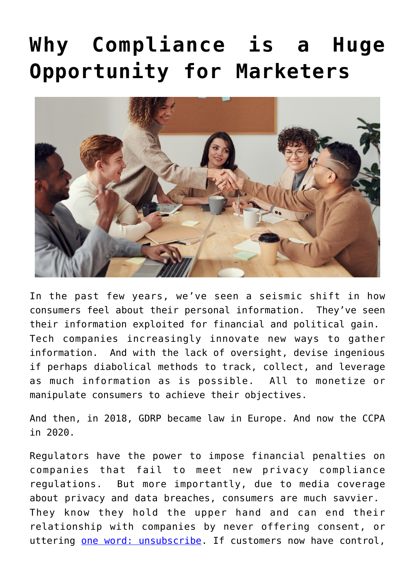# **[Why Compliance is a Huge](https://4thoughtmarketing.com/privacy-compliance-opportunity-marketers/) [Opportunity for Marketers](https://4thoughtmarketing.com/privacy-compliance-opportunity-marketers/)**



In the past few years, we've seen a seismic shift in how consumers feel about their personal information. They've seen their information exploited for financial and political gain. Tech companies increasingly innovate new ways to gather information. And with the lack of oversight, devise ingenious if perhaps diabolical methods to track, collect, and leverage as much information as is possible. All to monetize or manipulate consumers to achieve their objectives.

And then, in 2018, GDRP became law in Europe. And now the CCPA in 2020.

Regulators have the power to impose financial penalties on companies that fail to meet new privacy compliance regulations. But more importantly, due to media coverage about privacy and data breaches, consumers are much savvier. They know they hold the upper hand and can end their relationship with companies by never offering consent, or uttering [one word: unsubscribe](https://4thoughtmarketing.com/one-word-that-kills-your-email-marketing/). If customers now have control,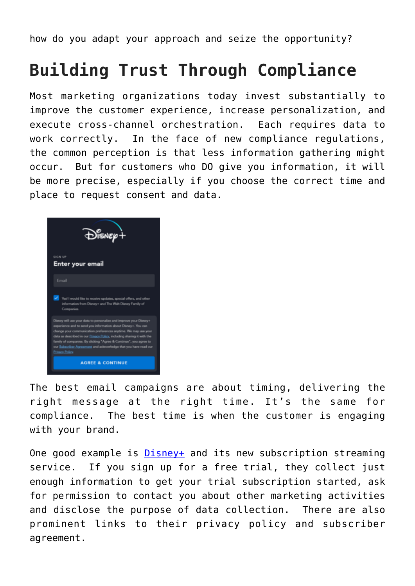how do you adapt your approach and seize the opportunity?

### **Building Trust Through Compliance**

Most marketing organizations today invest substantially to improve the customer experience, increase personalization, and execute cross-channel orchestration. Each requires data to work correctly. In the face of new compliance regulations, the common perception is that less information gathering might occur. But for customers who DO give you information, it will be more precise, especially if you choose the correct time and place to request consent and data.



The best email campaigns are about timing, delivering the right message at the right time. It's the same for compliance. The best time is when the customer is engaging with your brand.

One good example is [Disney+](https://disneyplus.com) and its new subscription streaming service. If you sign up for a free trial, they collect just enough information to get your trial subscription started, ask for permission to contact you about other marketing activities and disclose the purpose of data collection. There are also prominent links to their privacy policy and subscriber agreement.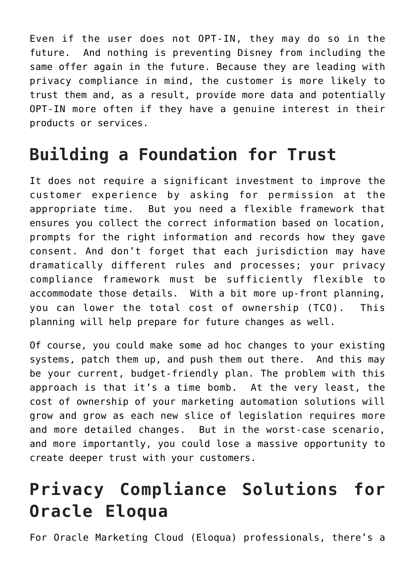Even if the user does not OPT-IN, they may do so in the future. And nothing is preventing Disney from including the same offer again in the future. Because they are leading with privacy compliance in mind, the customer is more likely to trust them and, as a result, provide more data and potentially OPT-IN more often if they have a genuine interest in their products or services.

### **Building a Foundation for Trust**

It does not require a significant investment to improve the customer experience by asking for permission at the appropriate time. But you need a flexible framework that ensures you collect the correct information based on location, prompts for the right information and records how they gave consent. And don't forget that each jurisdiction may have dramatically different rules and processes; your privacy compliance framework must be sufficiently flexible to accommodate those details. With a bit more up-front planning, you can lower the total cost of ownership (TCO). This planning will help prepare for future changes as well.

Of course, you could make some ad hoc changes to your existing systems, patch them up, and push them out there. And this may be your current, budget-friendly plan. The problem with this approach is that it's a time bomb. At the very least, the cost of ownership of your marketing automation solutions will grow and grow as each new slice of legislation requires more and more detailed changes. But in the worst-case scenario, and more importantly, you could lose a massive opportunity to create deeper trust with your customers.

## **Privacy Compliance Solutions for Oracle Eloqua**

For Oracle Marketing Cloud (Eloqua) professionals, there's a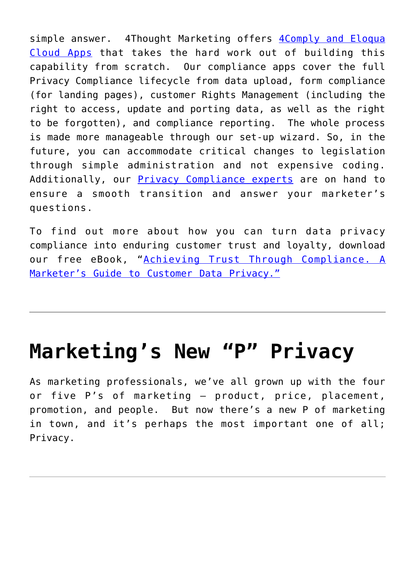simple answer. 4Thought Marketing offers [4Comply and Eloqua](https://4thoughtmarketing.com/products/cloud-apps/4comply-eloqua-cloud-apps/) [Cloud Apps](https://4thoughtmarketing.com/products/cloud-apps/4comply-eloqua-cloud-apps/) that takes the hard work out of building this capability from scratch. Our compliance apps cover the full Privacy Compliance lifecycle from data upload, form compliance (for landing pages), customer Rights Management (including the right to access, update and porting data, as well as the right to be forgotten), and compliance reporting. The whole process is made more manageable through our set-up wizard. So, in the future, you can accommodate critical changes to legislation through simple administration and not expensive coding. Additionally, our [Privacy Compliance experts](https://4thoughtmarketing.com/privacy-compliance-consulting-oracle-eloqua/) are on hand to ensure a smooth transition and answer your marketer's questions.

To find out more about how you can turn data privacy compliance into enduring customer trust and loyalty, download our free eBook, "[Achieving Trust Through Compliance. A](https://4thoughtmarketing.com/achieve-trust-through-compliance/) [Marketer's Guide to Customer Data Privacy."](https://4thoughtmarketing.com/achieve-trust-through-compliance/)

## **[Marketing's New "P" Privacy](https://4thoughtmarketing.com/marketing-new-p-privacy/)**

As marketing professionals, we've all grown up with the four or five P's of marketing – product, price, placement, promotion, and people. But now there's a new P of marketing in town, and it's perhaps the most important one of all; Privacy.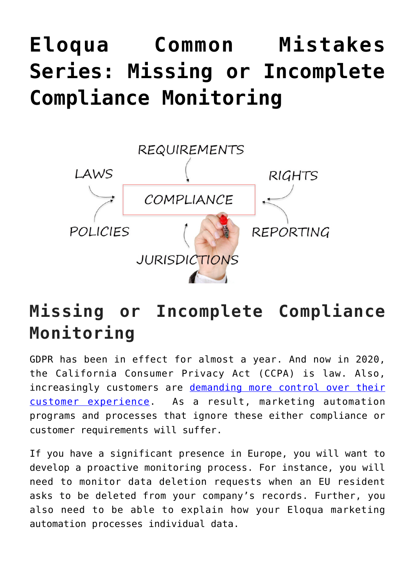# **[Eloqua Common Mistakes](https://4thoughtmarketing.com/eloqua-common-mistakes-series-missing-or-incomplete-compliance-monitoring/) [Series: Missing or Incomplete](https://4thoughtmarketing.com/eloqua-common-mistakes-series-missing-or-incomplete-compliance-monitoring/) [Compliance Monitoring](https://4thoughtmarketing.com/eloqua-common-mistakes-series-missing-or-incomplete-compliance-monitoring/)**



### **Missing or Incomplete Compliance Monitoring**

GDPR has been in effect for almost a year. And now in 2020, the California Consumer Privacy Act (CCPA) is law. Also, increasingly customers are [demanding more control over their](https://4thoughtmarketing.com/subscription-management-in-the-age-of-customer-experience/) [customer experience](https://4thoughtmarketing.com/subscription-management-in-the-age-of-customer-experience/). As a result, marketing automation programs and processes that ignore these either compliance or customer requirements will suffer.

If you have a significant presence in Europe, you will want to develop a proactive monitoring process. For instance, you will need to monitor data deletion requests when an EU resident asks to be deleted from your company's records. Further, you also need to be able to explain how your Eloqua marketing automation processes individual data.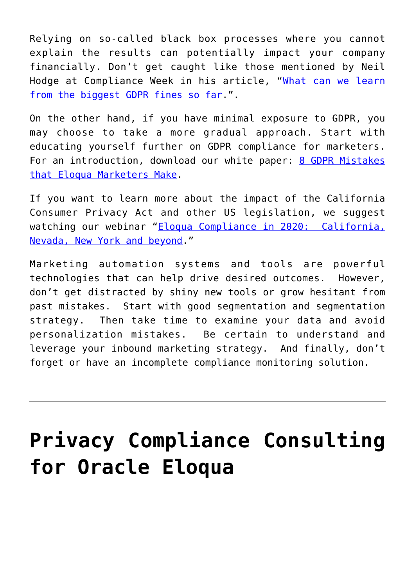Relying on so-called black box processes where you cannot explain the results can potentially impact your company financially. Don't get caught like those mentioned by Neil Hodge at Compliance Week in his article, "[What can we learn](https://www.complianceweek.com/gdpr/what-we-can-learn-from-the-biggest-gdpr-fines-so-far/27431.article) [from the biggest GDPR fines so far.](https://www.complianceweek.com/gdpr/what-we-can-learn-from-the-biggest-gdpr-fines-so-far/27431.article)".

On the other hand, if you have minimal exposure to GDPR, you may choose to take a more gradual approach. Start with educating yourself further on GDPR compliance for marketers. For an introduction, download our white paper: [8 GDPR Mistakes](https://4thoughtmarketing.com/8-gdpr-mistakes-that-eloqua-marketers-make/) [that Eloqua Marketers Make.](https://4thoughtmarketing.com/8-gdpr-mistakes-that-eloqua-marketers-make/)

If you want to learn more about the impact of the California Consumer Privacy Act and other US legislation, we suggest watching our webinar "[Eloqua Compliance in 2020: California,](http://web.4thoughtmarketing.com/EloquaComplianceIn2020WebinarReplay) [Nevada, New York and beyond.](http://web.4thoughtmarketing.com/EloquaComplianceIn2020WebinarReplay)"

Marketing automation systems and tools are powerful technologies that can help drive desired outcomes. However, don't get distracted by shiny new tools or grow hesitant from past mistakes. Start with good segmentation and segmentation strategy. Then take time to examine your data and avoid personalization mistakes. Be certain to understand and leverage your inbound marketing strategy. And finally, don't forget or have an incomplete compliance monitoring solution.

# **[Privacy Compliance Consulting](https://4thoughtmarketing.com/privacy-compliance-consulting-for-oracle-eloqua/) [for Oracle Eloqua](https://4thoughtmarketing.com/privacy-compliance-consulting-for-oracle-eloqua/)**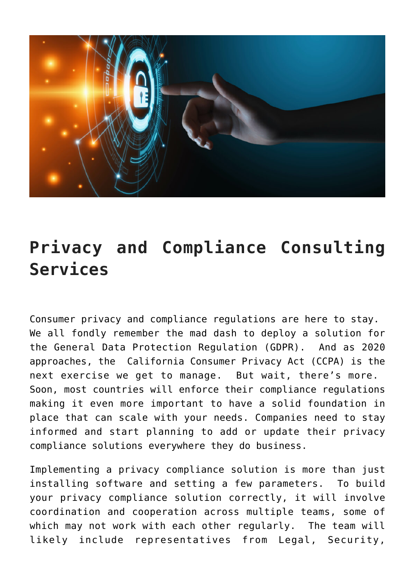![](_page_6_Picture_0.jpeg)

#### **Privacy and Compliance Consulting Services**

Consumer privacy and compliance regulations are here to stay. We all fondly remember the mad dash to deploy a solution for the General Data Protection Regulation (GDPR). And as 2020 approaches, the California Consumer Privacy Act (CCPA) is the next exercise we get to manage. But wait, there's more. Soon, most countries will enforce their compliance regulations making it even more important to have a solid foundation in place that can scale with your needs. Companies need to stay informed and start planning to add or update their privacy compliance solutions everywhere they do business.

Implementing a privacy compliance solution is more than just installing software and setting a few parameters. To build your privacy compliance solution correctly, it will involve coordination and cooperation across multiple teams, some of which may not work with each other regularly. The team will likely include representatives from Legal, Security,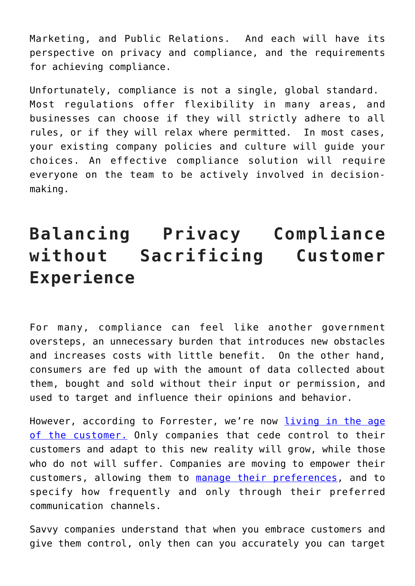Marketing, and Public Relations. And each will have its perspective on privacy and compliance, and the requirements for achieving compliance.

Unfortunately, compliance is not a single, global standard. Most regulations offer flexibility in many areas, and businesses can choose if they will strictly adhere to all rules, or if they will relax where permitted. In most cases, your existing company policies and culture will guide your choices. An effective compliance solution will require everyone on the team to be actively involved in decisionmaking.

### **Balancing Privacy Compliance without Sacrificing Customer Experience**

For many, compliance can feel like another government oversteps, an unnecessary burden that introduces new obstacles and increases costs with little benefit. On the other hand, consumers are fed up with the amount of data collected about them, bought and sold without their input or permission, and used to target and influence their opinions and behavior.

However, according to Forrester, we're now [living in the age](https://go.forrester.com/age-of-the-customer/) [of the customer.](https://go.forrester.com/age-of-the-customer/) Only companies that cede control to their customers and adapt to this new reality will grow, while those who do not will suffer. Companies are moving to empower their customers, allowing them to [manage their preferences](https://4thoughtmarketing.com/subscription-management-in-the-age-of-customer-experience/), and to specify how frequently and only through their preferred communication channels.

Savvy companies understand that when you embrace customers and give them control, only then can you accurately you can target